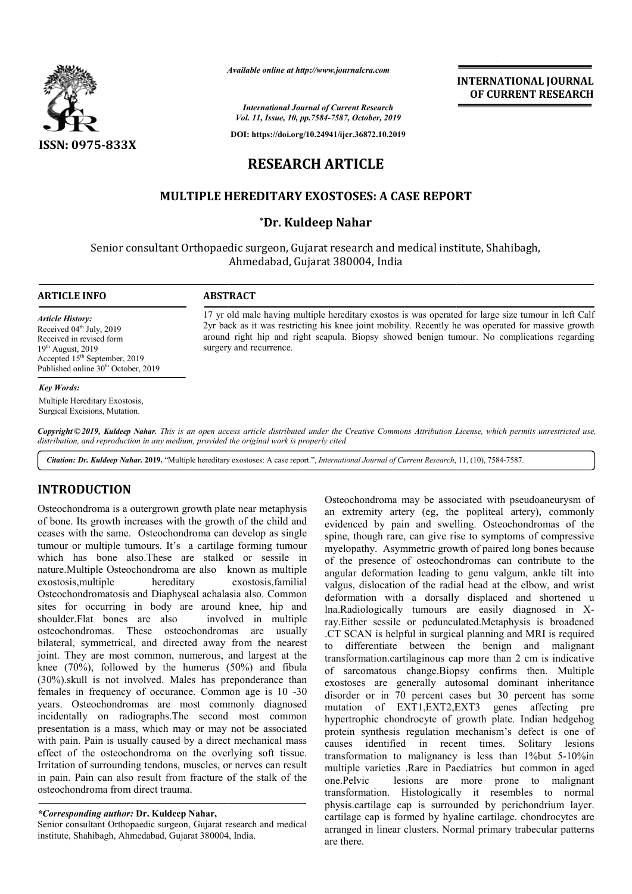

*Available online at http://www.journalcra.com*

*International Journal of Current Research Vol. 11, Issue, 10, pp.7584-7587, October, 2019*

**DOI: https://doi.org/10.24941/ijcr.36872.10.2019**

# **RESEARCH ARTICLE**

## **MULTIPLE HEREDITARY EXOSTOSES: A CASE REPORT EXOSTOSES: A CASE REPORT**

## **\*Dr. Kuldeep Nahar**

Senior consultant Orthopaedic surgeon, Gujarat research and medical institute, Shahibagh, Ahmedabad, Gujarat 380004, India

# **ARTICLE INFO ABSTRACT**

*Article History:* Received  $04^{\text{th}}$  July, 2019 Received in revised form  $19<sup>th</sup>$  August, 2019 Accepted 15th September, 2019 Published online 30<sup>th</sup> October, 2019

#### *Key Words:*

Multiple Hereditary Exostosis, Surgical Excisions, Mutation.

17 yr old male having multiple hereditary exostos is was operated for large size tumour in left Calf 2yr back as it was restricting his knee joint mobility. Recently he was operated for massive growth 2yr back as it was restricting his knee joint mobility. Recently he was operated for massive growth around right hip and right scapula. Biopsy showed benign tumour. No complications regarding surgery and recurrence.

**INTERNATIONAL JOURNAL OF CURRENT RESEARCH**

Copyright © 2019, Kuldeep Nahar. This is an open access article distributed under the Creative Commons Attribution License, which permits unrestricted use, *distribution, and reproduction in any medium, provided the original work is properly cited.*

Citation: Dr. Kuldeep Nahar. 2019. "Multiple hereditary exostoses: A case report.", *International Journal of Current Research*, 11, (10), 7584-7587.

## **INTRODUCTION**

Osteochondroma is a outergrown growth plate near metaphysis of bone. Its growth increases with the growth of the child and ceases with the same. Osteochondroma can develop as single tumour or multiple tumours. It's a cartilage forming tumour which has bone also.These are stalked or sessile in nature. Multiple Osteochondroma are also known as multiple exostosis,multiple hereditary exostosis,familial Osteochondromatosis and Diaphyseal achalasia also. Common sites for occurring in body are around knee, hip and shoulder.Flat bones are also osteochondromas. These osteochondromas are usually bilateral, symmetrical, and directed away from the nearest joint. They are most common, numerous, and largest at the knee (70%), followed by the humerus (50%) and fibula (30%).skull is not involved. Males has preponderance than females in frequency of occurance. Common age is 10 -30 years. Osteochondromas are most commonly diagnosed incidentally on radiographs.The second most common presentation is a mass, which may or may not be associated with pain. Pain is usually caused by a direct mechanical mass effect of the osteochondroma on the overlying soft tissue. Irritation of surrounding tendons, muscles, or nerves can result in pain. Pain can also result from fracture of the stalk of the osteochondroma from direct trauma. involved in multiple

Senior consultant Orthopaedic surgeon, Gujarat research and medical institute, Shahibagh, Ahmedabad, Gujarat 380004, India.

Osteochondroma may be associated with pseudoaneurysm of an extremity artery (eg, the popliteal artery), commonly an extremity artery (eg, the popliteal artery), commonly evidenced by pain and swelling. Osteochondromas of the spine, though rare, can give rise to symptoms of compressive myelopathy. Asymmetric growth of paired long bones because of the presence of osteochondromas can contribute to the angular deformation leading to genu valgum, ankle tilt into valgus, dislocation of the radial head at the elbow, and wrist deformation with a dorsally displaced and shortened u spine, though rare, can give rise to symptoms of compressive<br>myelopathy. Asymmetric growth of paired long bones because<br>of the presence of osteochondromas can contribute to the<br>angular deformation leading to genu valgum, a ray.Either sessile or pedunculated.Metaphysis is broadened .CT SCAN is helpful in surgical planning and MRI is required to differentiate between the benign and malignant transformation.cartilaginous cap more than 2 cm is indicative of sarcomatous change.Biopsy confirms then. exostoses are generally autosomal dominant inheritance disorder or in 70 percent cases but 30 percent has some mutation of EXT1,EXT2,EXT3 genes affecting pre disorder or in 70 percent cases but 30 percent has some<br>mutation of EXT1,EXT2,EXT3 genes affecting pre<br>hypertrophic chondrocyte of growth plate. Indian hedgehog protein synthesis regulation mechanism's defect is one of causes identified in recent times. Solitary lesions transformation to malignancy is less than  $1\%$ but 5-10%in multiple varieties .Rare in Paediatrics but common in aged one.Pelvic lesions are more prone to malignant one.Pelvic lesions are more transformation. Histologically it resembles to normal physis.cartilage cap is surrounded by perichondrium layer. cartilage cap is formed by hyaline cartilage. chondrocytes are transformation. Histologically it resembles to normal physis.cartilage cap is surrounded by perichondrium layer.<br>cartilage cap is formed by hyaline cartilage. chondrocytes are arranged in linear clusters. Normal primary tr are there. ray.Either sessile or pedunculated.Metaphysis is broadened .CT SCAN is helpful in surgical planning and MRI is required to differentiate between the benign and malignant transformation.cartilaginous cap more than 2 cm is i

*<sup>\*</sup>Corresponding author:* **Dr. Kuldeep Nahar,**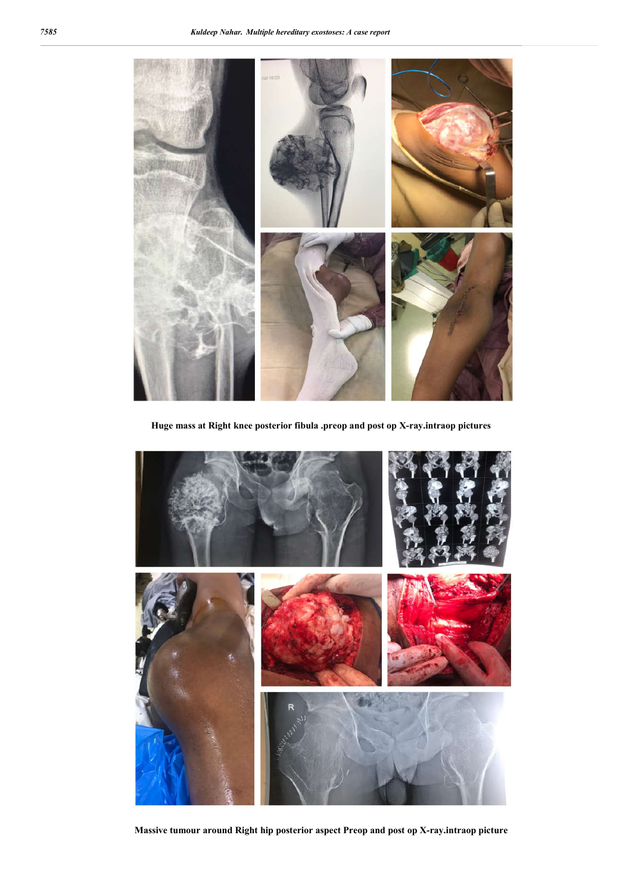

**Huge mass at Right knee posterior fibula .preop and post op X-ray.intraop pictures**



**Massive tumour around Right hip posterior aspect Preop and post op X-ray.intraop picture**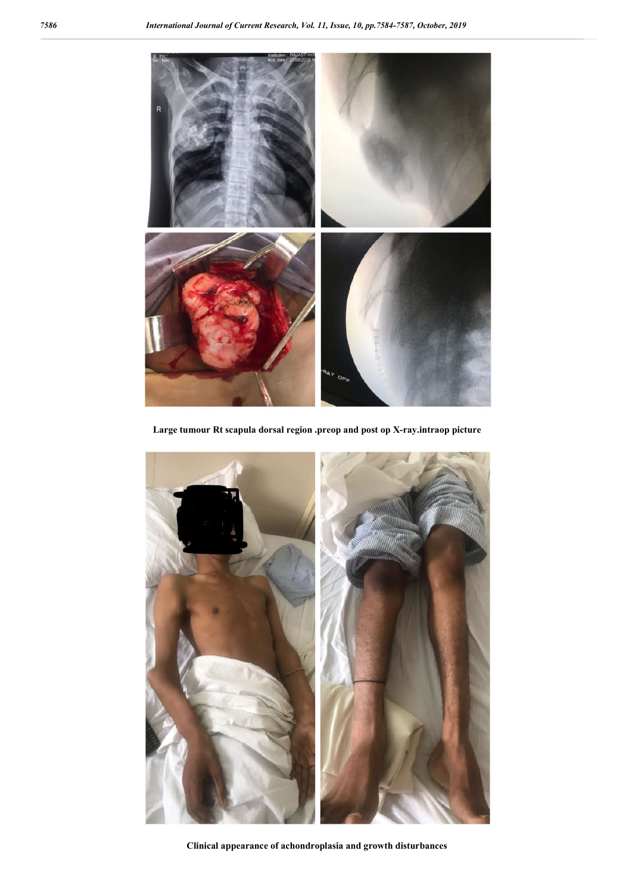

**Large tumour Rt scapula dorsal region .preop and post op X-ray.intraop picture**



**Clinical appearance of achondroplasia and growth disturbances**